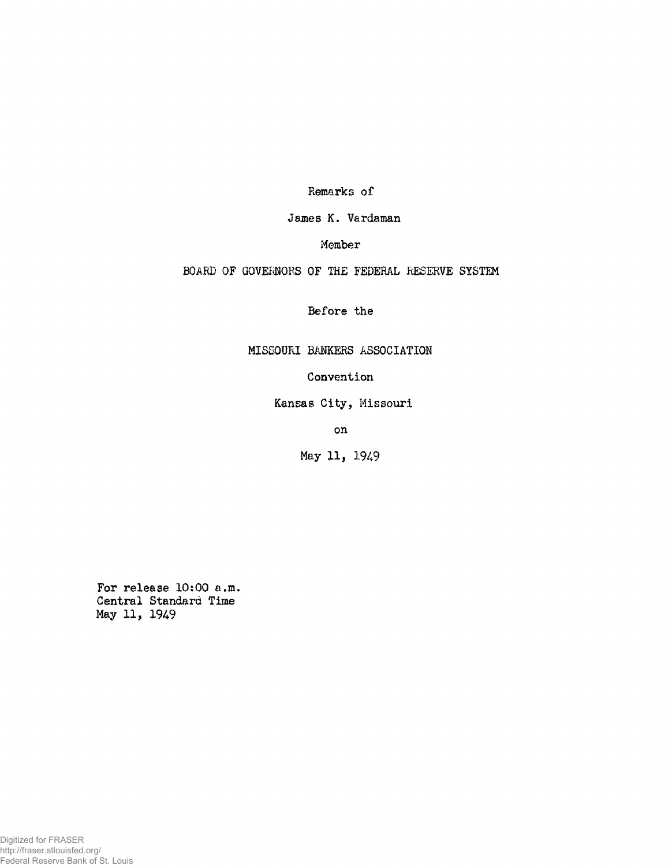Remarks of

James K. Vardaman

Member

BOARD OF GOVERNORS OF THE FEDERAL RESERVE SYSTEM

Before the

MISSOURI BANKERS ASSOCIATION

Convention

Kansas City, Missouri

on

May II, 1949

For release 10:00 a.m. Central Standard Time May 11, 1949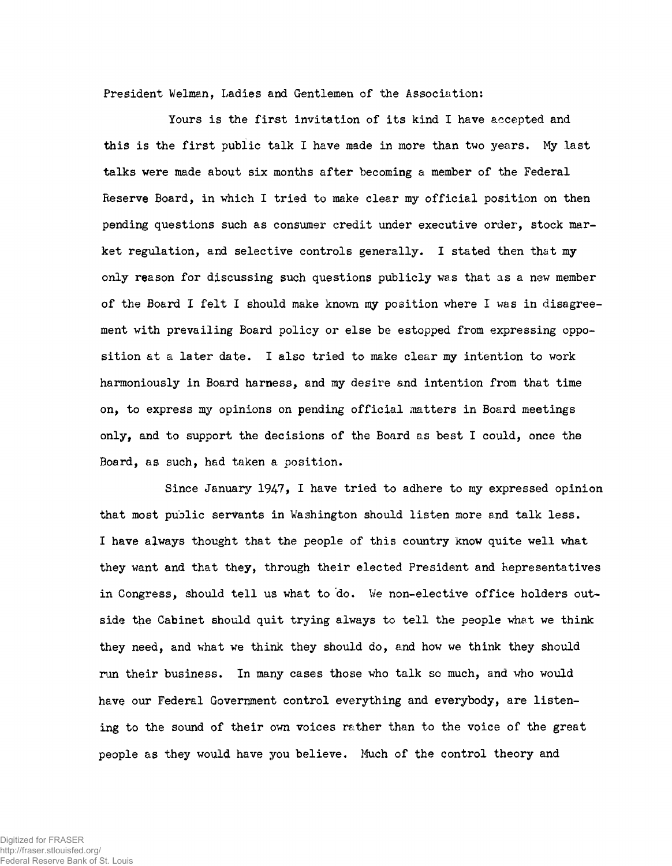President Welman, Ladies and Gentlemen of the Association:

Yours is the first invitation of its kind I have accepted and this is the first public talk I have made in more than two years. My last talks were made about six months after becoming a member of the Federal Reserve Board, in which I tried to make clear my official position on then pending questions such as consumer credit under executive order, stock market regulation, and selective controls generally. I stated then that my only reason for discussing such questions publicly was that as a new member of the Board I felt I should make known my position where I was in disagreement with prevailing Board policy or else be estopped from expressing opposition at a later date. I also tried to make clear my intention to work harmoniously in Board harness, and my desire and intention from that time on, to express my opinions on pending official matters in Board meetings only, and to support the decisions of the Board as best I could, once the Board, as such, had taken a position.

Since January 1947, I have tried to adhere to my expressed opinion that most public servants in Washington should listen more and talk less. I have always thought that the people of this country know quite well what they want and that they, through their elected President and Representatives in Congress, should tell us what to do. Ve non-elective office holders outside the Cabinet should quit trying always to tell the people whet we think they need, and what ve think they should do, and how we think they should run their business. In many cases those who talk so much, and who would have our Federal Government control everything and everybody, are listening to the sound of their own voices rather than to the voice of the great people as they would have you believe. Much of the control theory and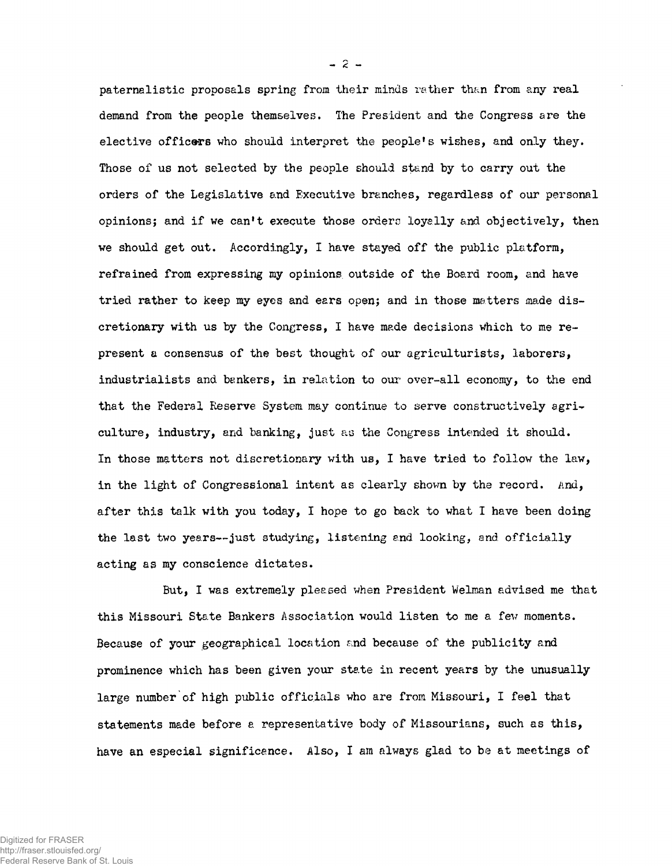paternalistic proposals spring from their minds rather than from any real demand from the people themselves. The President and the Congress are the elective officers who should interpret the people's wishes, and only they. Those of us not selected by the people should stand by to carry out the orders of the Legislative and Executive branches, regardless of our personal opinions; and if we can't execute those orders loyally and objectively, then we should get out. Accordingly, I have stayed off the public platform, refrained from expressing my opinions outside of the Board room, and have tried rather to keep my eyes and ears open; and in those matters made discretionary with us by the Congress, I have made decisions which to me represent a consensus of the best thought of our agriculturists, laborers, industrialists and bankers, in relation to our over-all economy, to the end that the Federal Reserve System may continue to serve constructively agriculture, industry, and banking, just as the Congress intended it should. In those matters not discretionary with us, I have tried to follow the law, **in** the light of Congressional intent as clearly shown by the record. **And,** after this talk with you today, I hope to go back to what I have been doing the last two years— just studying, listening and looking, **and** officially acting as my conscience dictates.

But, I was extremely pleased when President Welman advised me that this Missouri State Bankers Association would listen to me a fev moments. Because of your geographical location and because of the publicity and prominence which has been given your state in recent years by the unusually large number of high public officials who are from Missouri, I feel that statements made before a representative body of Missourians, such as this, have an especial significance. Also, I am always glad to be at meetings of

 $-2-$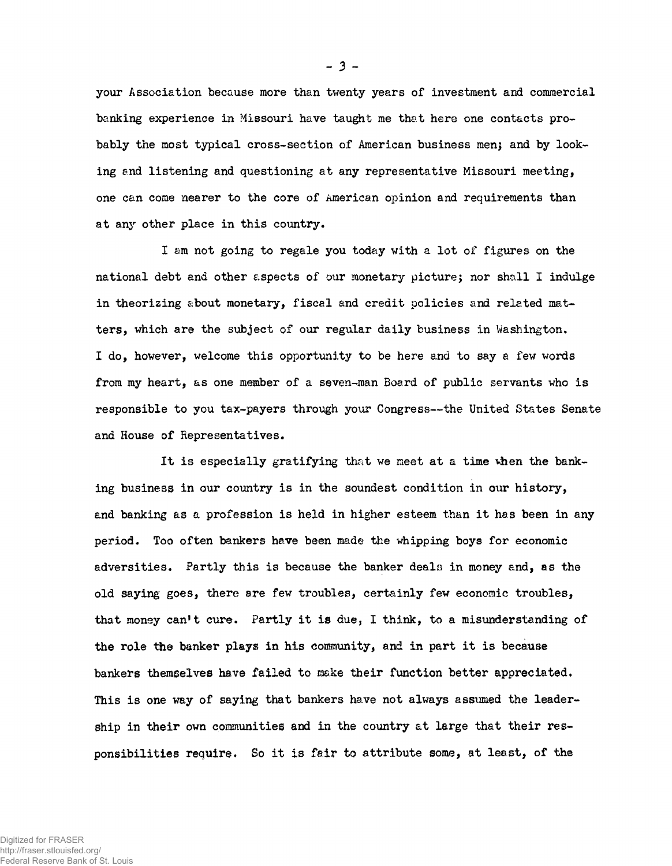your Association because more than twenty years of investment and commercial banking experience in Missouri have taught me that here one contacts probably the most typical cross-section of American business men; and by looking and listening and questioning at any representative Missouri meeting, one can come nearer to the core of American opinion and requirements than at any other place in this country.

I am not going to regale you today with a lot of figures on the national debt and other aspects of our monetary picture; nor shall I indulge in theorizing about monetary, fiscal and credit policies and related matters, which are the subject of our regular daily business in Washington. I do, however, welcome this opportunity to be here and to say a few words from my heart, as one member of a seven-man Board of public servants who is responsible to you tax-payers through your Congress— the United States Senate and House of Representatives.

It is especially gratifying that we meet at a time when the banking business in our country is in the soundest condition in our history, and banking as a profession is held in higher esteem than it has been in any period. Too often bankers have been made the whipping boys for economic adversities. Partly this is because the banker deals in money and, as the old saying goes, there are few troubles, certainly few economic troubles, that money can't cure. Partly it is due, I think, to a misunderstanding of the role the banker plays in his community, and in part it is because bankers themselves have failed to make their function better appreciated. This is one way of saying that bankers have not always assumed the leadership in their own communities and in the country at large that their responsibilities require. So it is fair to attribute some, at least, of the

**- 3 -**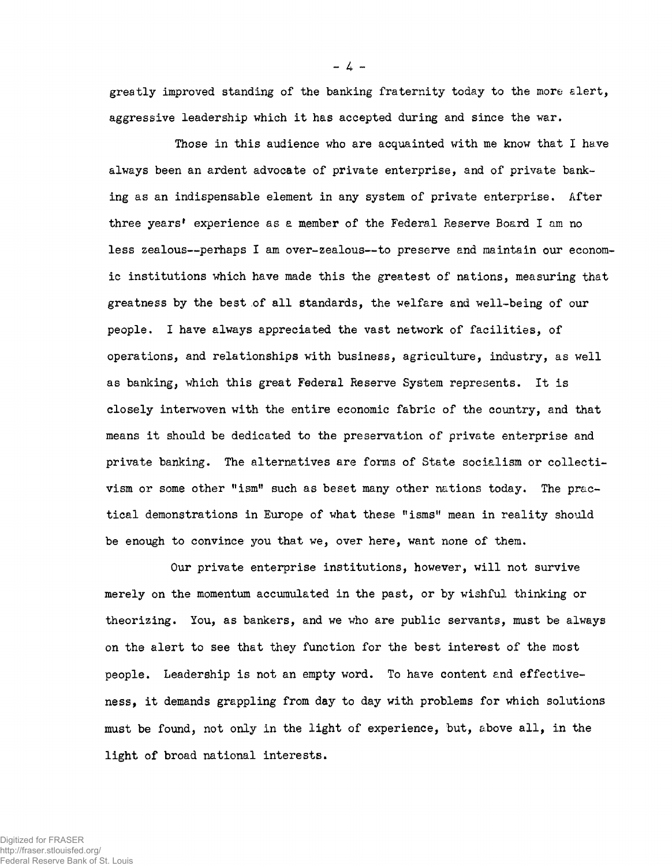greatly improved standing of the banking fraternity today to the more alert, aggressive leadership which it has accepted during and since the war.

**-** *A -*

Those in this audience who are acquainted with me know that I have always been an ardent advocate of private enterprise, and of private banking as an indispensable element in any system of private enterprise. After three years' experience as a member of the Federal Reserve Board I am no less zealous— perhaps I am over-zealous— to preserve and maintain our economic institutions which have made this the greatest of nations, measuring that greatness by the best of all standards, the welfare and well-being of our people. I have always appreciated the vast network of facilities, of operations, and relationships with business, agriculture, industry, as well as banking, which this great Federal Reserve System represents. It is closely interwoven with the entire economic fabric of the country, and that means it should be dedicated to the preservation of private enterprise and private banking. The alternatives are forms of State socialism or collectivism or some other "ism" such as beset many other nations today. The practical demonstrations in Europe of what these "isms" mean in reality should be enough to convince you that we, over here, want none of them.

Our private enterprise institutions, however, will not survive merely on the momentum accumulated in the past, or by wishful thinking or theorizing. You, as bankers, and we who are public servants, must be always on the alert to see that they function for the best interest of the most people. Leadership is not an empty word. To have content and effectiveness, it demands grappling from day to day with problems for which solutions must be found, not only in the light of experience, but, above all, in the light of broad national interests.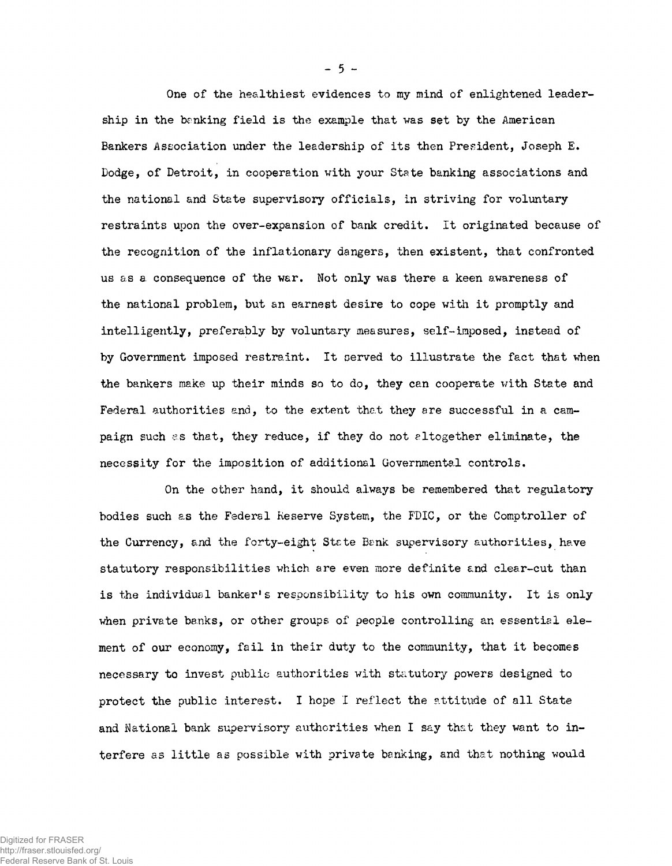One of the healthiest evidences to my mind of enlightened leadership in the banking field is the example that was set by the American Bankers Association under the leadership of its then President, Joseph E. Dodge, of Detroit, in cooperation with your State banking associations and the national and State supervisory officials, in striving for voluntary restraints upon the over-expansion of bank credit. It originated because of the recognition of the inflationary dangers, then existent, that confronted us as a consequence of the war. Not only was there a keen awareness of the national problem, but an earnest desire to cope with it promptly and intelligently, preferably by voluntary measures, self-imposed, instead of by Government imposed restraint. It served to illustrate the fact that when the bankers make up their minds so to do, they can cooperate with State and Federal authorities and, to the extent that they are successful in a campaign such as that, they reduce, if they do not altogether eliminate, the necessity for the imposition of additional Governmental controls.

On the other hand, it should always be remembered that regulatory bodies such as the Federal Reserve System, the FDIC, or the Comptroller of the Currency, and the forty-eight Stete Benk supervisory authorities, have statutory responsibilities which are even more definite and clear-cut than is the individual banker's responsibility to his own community. It is only when private banks, or other groups of people controlling an essential element of our economy, fail in their duty to the community, that it becomes necessary to invest public authorities with statutory powers designed to protect the public interest. I hope I reflect the attitude of all State and National bank supervisory authorities when I say that they want to interfere as little as possible with private banking, and that nothing would

**- 5 -**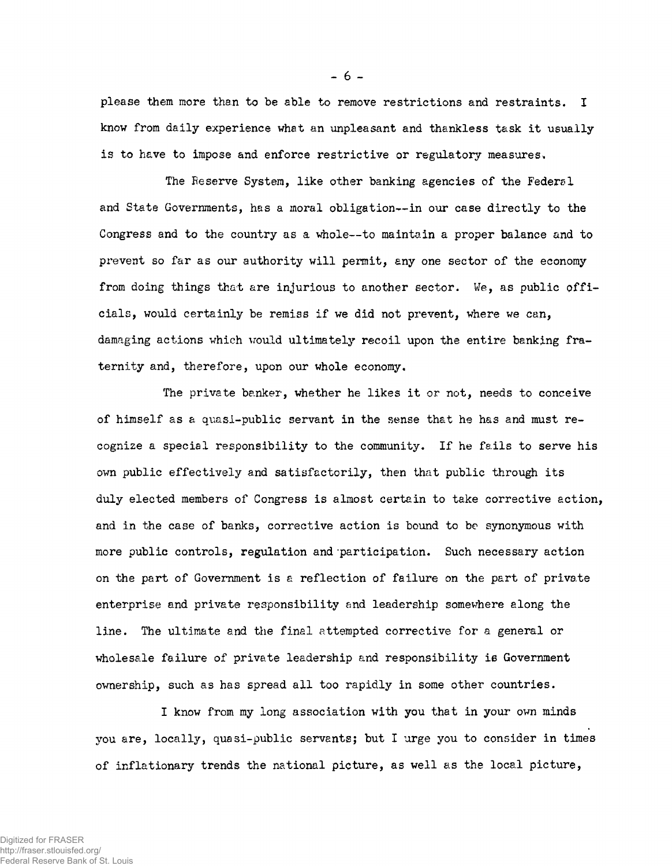please them more than to be able to remove restrictions and restraints. I know from daily experience what an unpleasant and thankless task it usually is to have to impose and enforce restrictive or regulatory measures.

The Reserve System, like other banking agencies of the Federsl and State Governments, has a moral obligation— in our case directly to the Congress and to the country as a whole— to maintain a proper balance and to prevent so far as our authority will permit, any one sector of the economy from doing things that are injurious to another sector. We, as public officials, would certainly be remiss if we did not prevent, where we can, damaging actions which would ultimately recoil upon the entire banking fraternity and, therefore, upon our whole economy.

The private banker, whether he likes it or not, needs to conceive of himself as a quasi-public servant in the sense that he has and must recognize a special responsibility to the community. If he fails to serve his own public effectively and satisfactorily, then that public through its duly elected members of Congress is almost certain to take corrective action, and in the case of banks, corrective action is bound to be synonymous with more public controls, regulation and participation. Such necessary action on the part of Government is a reflection of failure on the part of private enterprise and private responsibility and leadership somewhere along the line. The ultimate and the final attempted corrective for a general or wholesale failure of private leadership and responsibility ie Government ownership, such as has spread all too rapidly in some other countries.

I know from my long association with you that in your own minds you are, locally, quasi-public servants; but I urge you to consider in times of inflationary trends the national picture, as well as the local picture,

**- 6 -**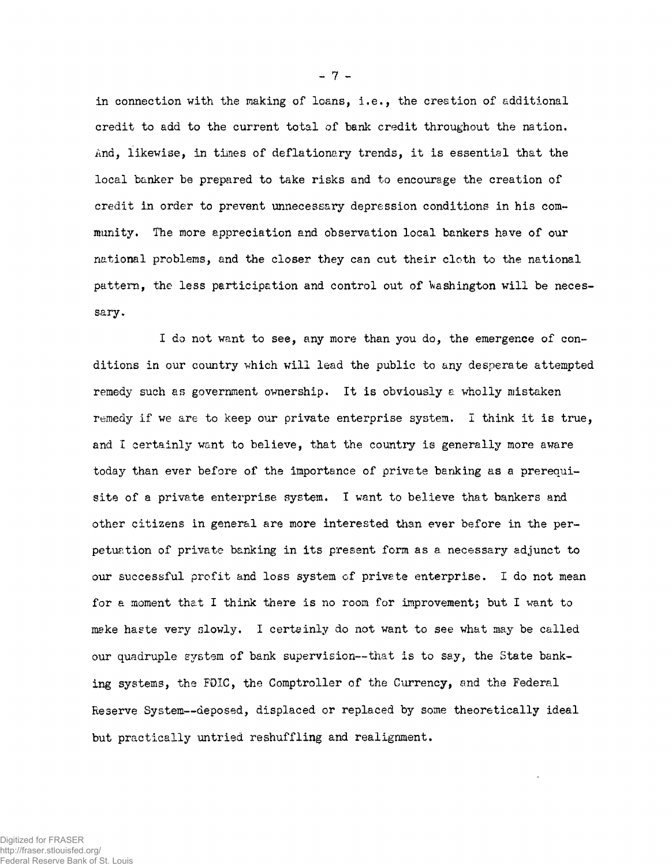in connection with the making of loans, i.e., the creation of additional credit to add to the current total of bank credit throughout the nation. And, likewise, in times of deflationary trends, it is essential that the local banker be prepared to take risks and to encourage the creation of credit in order to prevent unnecessary depression conditions in his community. The more appreciation and observation local bankers have of our national problems, and the closer they can cut their cloth to the national pattern, the less participation and control out of Washington will be necessary.

I do not want to see, any more than you do, the emergence of conditions in our country which will lead the public to any desperate attempted remedy such as government ownership. It is obviously a wholly mistaken remedy if we are to keep our private enterprise system. I think it is true, and I certainly want to believe, that the country is generally more aware today than ever before of the importance of private banking as a prerequisite of a private enterprise system. I want to believe that bankers and other citizens in general are more interested than ever before in the perpetuation of private banking in its present form as a necessary adjunct to our successful profit and loss system of private enterprise. I do not mean for a moment that I think there is no room for improvement; but I want to make haste very slowly. I certainly do not want to see what may be called our quadruple system of bank supervision— that is to say, the State banking systems, the FOIC, the Comptroller of the Currency, and the Federal Reserve System— deposed, displaced or replaced by some theoretically ideal but practically untried reshuffling and realignment.

**- 7 -**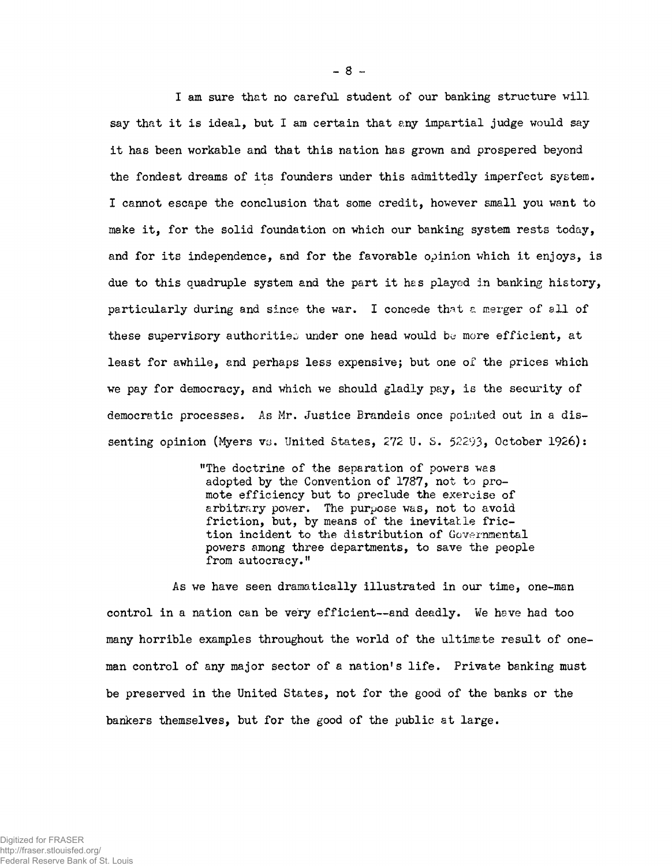I am sure that no careful student of our banking structure will say that it is ideal, but I am certain that any impartial judge would say it has been workable and that this nation has grown and prospered beyond the fondest dreams of its founders under this admittedly imperfect system. I cannot escape the conclusion that some credit, however small you want to make it, for the solid foundation on which our banking system rests today, and for its independence, and for the favorable opinion which it enjoys, is due to this quadruple system and the part it hes played in banking history, particularly during and since the war. I concede that a merger of all of these supervisory authorities under one head would be more efficient, at least for awhile, and perhaps less expensive; but one of the prices which we pay for democracy, and which we should gladly pay, is the security of democratic processes. As Mr. Justice Brandeis once pointed out in a dissenting opinion (Myers vs. United States, 272 U. S. 52293, October 1926):

> "The doctrine of the separation of powers was adopted by the Convention of 1787, not to promote efficiency but to preclude the exercise of arbitrary power. The purpose was, not to avoid friction, but, by means of the inevitable friction incident to the distribution of Governmental powers among three departments, to save the people from autocracy."

As we have seen dramatically illustrated in our time, one-man control in a nation can be very efficient— and deadly. We have had too many horrible examples throughout the world of the ultimate result of oneman control of any major sector of a nation's life. Private banking must be preserved in the United States, not for the good of the banks or the bankers themselves, but for the good of the public at large.

**- 8 -**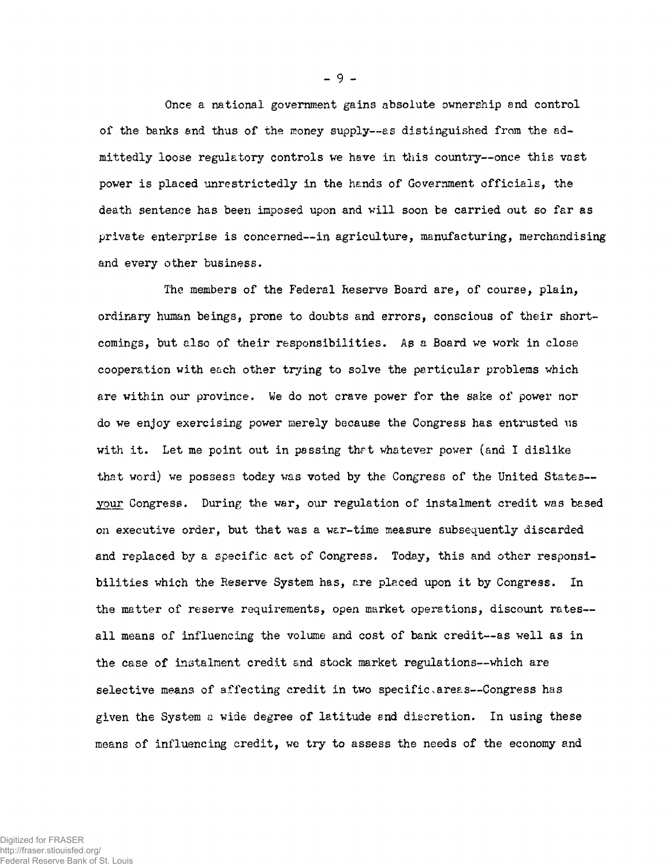Once a national government gains absolute ownership and control of the banks and thus of the money supply— as distinguished from the admittedly loose regulatory controls we have in this country— once this vast power is placed unrestrictedly in the hands of Government officials, the death sentence has been imposed upon and will soon be carried out so far as private enterprise is concerned— in agriculture, manufacturing, merchandising and every other business.

The members of the Federal Reserve Board are, of course, plain, ordinary human beings, prone to doubts and errors, conscious of their shortcomings, but also of their responsibilities. As a Board we work in close cooperation with each other trying to solve the particular problems which are within our province. We do not crave power for the sake of power nor do we enjoy exercising power merely because the Congress has entrusted us with it. Let me point out in passing that whatever power (and I dislike that word) we possess today was voted by the Congress of the United States your Congress. During the war, our regulation of instalment credit was based on executive order, but that was a war-time measure subsequently discarded and replaced by a specific act of Congress. Today, this and other responsibilities which the Reserve System has, are placed upon it by Congress. In the matter of reserve requirements, open market operations, discount rates all means of influencing the volume and cost of bank credit— as well as in the case of instalment credit and stock market regulations— which are selective means of affecting credit in two specific areas--Congress has given the System a wide degree of latitude and discretion. In using these means of influencing credit, we try to assess the needs of the economy and

Digitized for FRASER http://fraser.stlouisfed.org/ Federal Reserve Bank of St. Louis **- 9 -**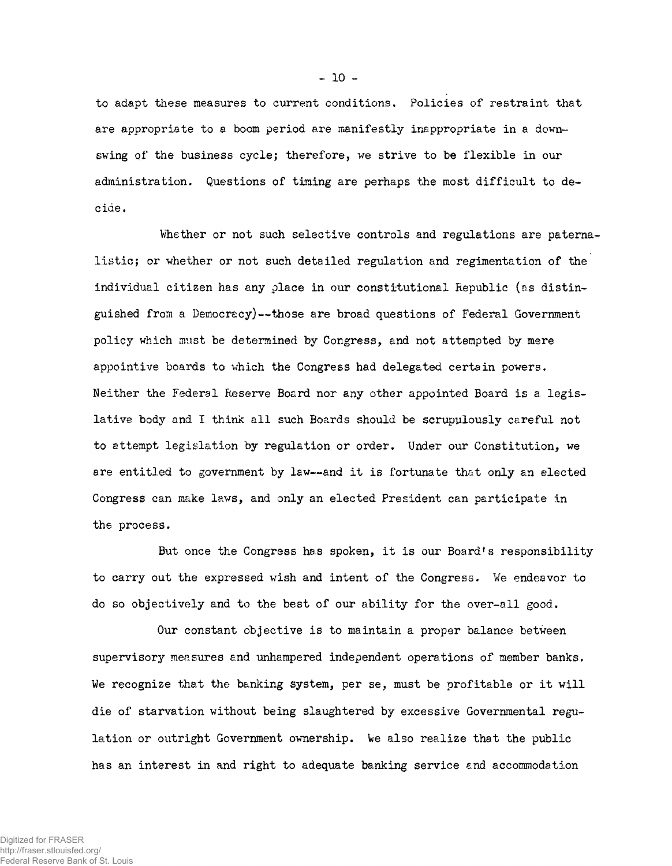to adapt these measures to current conditions. Policies of restraint that are appropriate to a boom period are manifestly inappropriate in a downswing of the business cycle; therefore, we strive to be flexible in our administration. Questions of timing are perhaps the most difficult to decide.

Whether or not such selective controls and regulations are paternalistic; or whether or not such detailed regulation and regimentation of the individual citizen has any place in our constitutional Republic (as distinguished from a Democracy)— those are broad questions of Federal Government policy which must be determined by Congress, and not attempted by mere appointive boards to which the Congress had delegated certain powers. Neither the Federal Reserve Board nor any other appointed Board is a legislative body and I think all such Boards should be scrupulously careful not to attempt legislation by regulation or order. Under our Constitution, we are entitled to government by law— and it is fortunate that only an elected Congress can make laws, and only an elected President can participate in the process.

But once the Congress has spoken, it is our Board's responsibility to carry out the expressed wish and intent of the Congress. We endeavor to do so objectively and to the best of our ability for the over-all good.

Our constant objective is to maintain a proper balance between supervisory measures and unhampered independent operations of member banks. We recognize that the banking system, per se, must be profitable or it will die of starvation without being slaughtered by excessive Governmental regulation or outright Government ownership. We also realize that the public has an interest in and right to adequate banking service end accommodation

**- 10 -**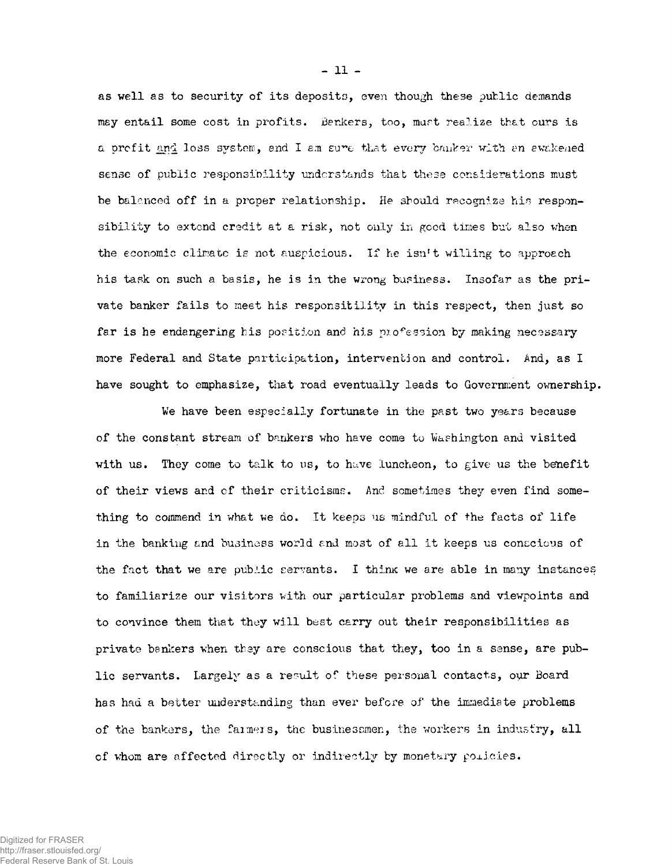as well as to security of its deposits, even though these public demands may entail some cost in profits. Bankers, too, mart realize that ours is a profit and loss system, and I am sure that every banker with an avakened sense of public responsibility understands that these considerations must be balenced off in a proper relationship. He should recognize his responsibility to extend credit at a risk, not only in good times but also when the economic climatc is not auspicious. If he isn't willing to approach his task on such a basis, he is in the wrong business. Insofar as the private banker fails to meet his responsitility in this respect, then just so far is he endangering his position and his profession by making necessary more Federal and State participation, intervention and control. And, as I have sought to emphasize, that road eventually leads to Government ownership.

Ve have been especially fortunate in the past two years because of the constant stream of bankers who have come to Washington and visited with us. They come to talk to us, to have luncheon, to give us the benefit of their views and of their criticisms. And sometimes they even find something to commend in what we do. It keeps us mindful of the facts of life in the banking and business world end most of all it keeps us conscious of the fact that we are public servants. I thimc we are able in many instances to familiarize our visitors with our particular problems and viewpoints and to convince them that they will best carry out their responsibilities as private bankers when they are conscious that they, too in a sense, are public servants. Largely as a result of these personal contacts, our Board has had a better understanding than ever before of the immediate problems of the bankers, the fanners, the businessmen, the workers in industry, all of whom are affected directly or indirectly by monetary policies.

**- 11 -**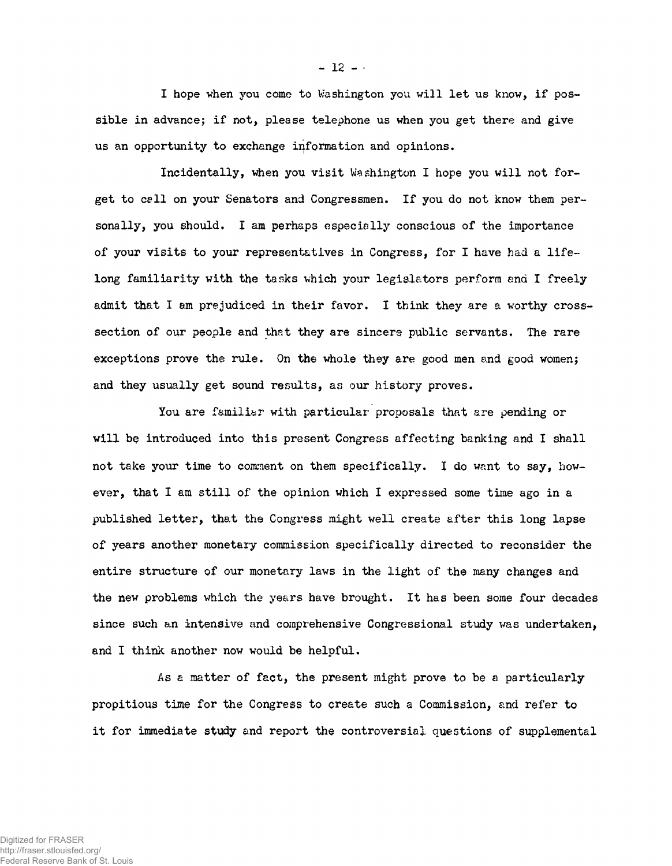I hope when you come to Washington you will let us know, if possible in advance; if not, please telephone us when you get there and give us an opportunity to exchange information and opinions.

Incidentally, when you visit Washington I hope you will not forget to cell on your Senators and Congressmen. If you do not know them personally, you should. I am perhaps especially conscious of the importance of your visits to your representatives in Congress, for I have had a lifelong familiarity with the tasks which your legislators perform end I freely admit that I am prejudiced in their favor. I think they are a worthy crosssection of our people and that they are sincere public servants. The rare exceptions prove the rule. Gn the whole they are good men and good women; and they usually get sound results, as our history proves.

You are familiar with particular proposals that are pending or will be introduced into this present Congress affecting banking and I shall not take your time to comment on them specifically. I do want to say, however, that I am still of the opinion which I expressed some time ago in a published letter, that the Congress might well create after this long lapse of years another monetary commission specifically directed to reconsider the entire structure of our monetary laws in the light of the many changes and the new problems which the years have brought. It has been some four decades since such an intensive and comprehensive Congressional study was undertaken, and I think another now would be helpful.

As a matter of fact, the present might prove to be a particularly propitious time for the Congress to create such a Commission, and refer to it for immediate study and report the controversial questions of supplemental

 $-12 -$